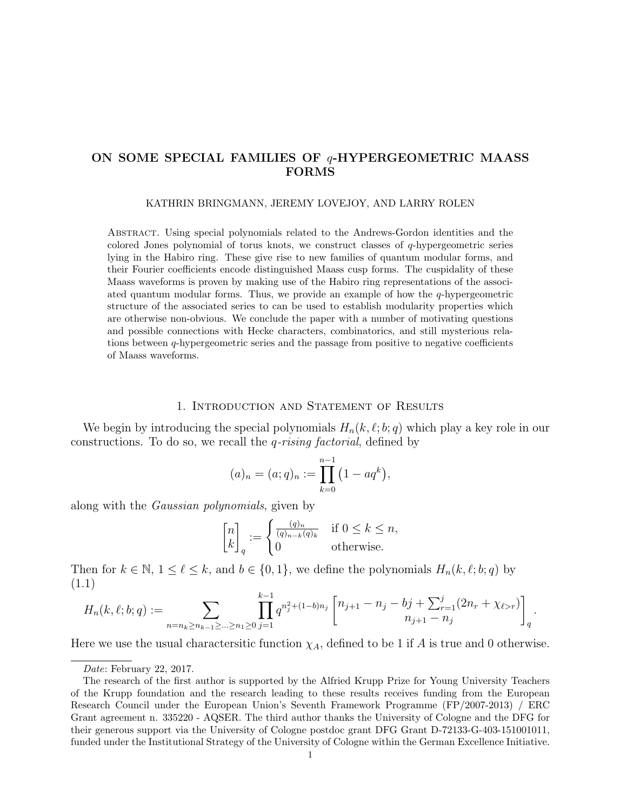# ON SOME SPECIAL FAMILIES OF  $q$ -HYPERGEOMETRIC MAASS FORMS

#### KATHRIN BRINGMANN, JEREMY LOVEJOY, AND LARRY ROLEN

Abstract. Using special polynomials related to the Andrews-Gordon identities and the colored Jones polynomial of torus knots, we construct classes of  $q$ -hypergeometric series lying in the Habiro ring. These give rise to new families of quantum modular forms, and their Fourier coefficients encode distinguished Maass cusp forms. The cuspidality of these Maass waveforms is proven by making use of the Habiro ring representations of the associated quantum modular forms. Thus, we provide an example of how the  $q$ -hypergeometric structure of the associated series to can be used to establish modularity properties which are otherwise non-obvious. We conclude the paper with a number of motivating questions and possible connections with Hecke characters, combinatorics, and still mysterious relations between  $q$ -hypergeometric series and the passage from positive to negative coefficients of Maass waveforms.

### 1. Introduction and Statement of Results

We begin by introducing the special polynomials  $H_n(k, \ell; b; q)$  which play a key role in our constructions. To do so, we recall the  $q$ -rising factorial, defined by

$$
(a)_n = (a;q)_n := \prod_{k=0}^{n-1} (1 - aq^k),
$$

along with the Gaussian polynomials, given by

$$
\begin{bmatrix} n \\ k \end{bmatrix}_q := \begin{cases} \frac{(q)_n}{(q)_{n-k}(q)_k} & \text{if } 0 \le k \le n, \\ 0 & \text{otherwise.} \end{cases}
$$

Then for  $k \in \mathbb{N}$ ,  $1 \leq \ell \leq k$ , and  $b \in \{0, 1\}$ , we define the polynomials  $H_n(k, \ell; b; q)$  by (1.1)

<span id="page-0-0"></span>
$$
H_n(k, \ell; b; q) := \sum_{n=n_k \ge n_{k-1} \ge \dots \ge n_1 \ge 0} \prod_{j=1}^{k-1} q^{n_j^2 + (1-b)n_j} \begin{bmatrix} n_{j+1} - n_j - bj + \sum_{r=1}^j (2n_r + \chi_{\ell \ge r}) \\ n_{j+1} - n_j \end{bmatrix}_q.
$$

Here we use the usual charactersitic function  $\chi_A$ , defined to be 1 if A is true and 0 otherwise.

Date: February 22, 2017.

The research of the first author is supported by the Alfried Krupp Prize for Young University Teachers of the Krupp foundation and the research leading to these results receives funding from the European Research Council under the European Union's Seventh Framework Programme (FP/2007-2013) / ERC Grant agreement n. 335220 - AQSER. The third author thanks the University of Cologne and the DFG for their generous support via the University of Cologne postdoc grant DFG Grant D-72133-G-403-151001011, funded under the Institutional Strategy of the University of Cologne within the German Excellence Initiative.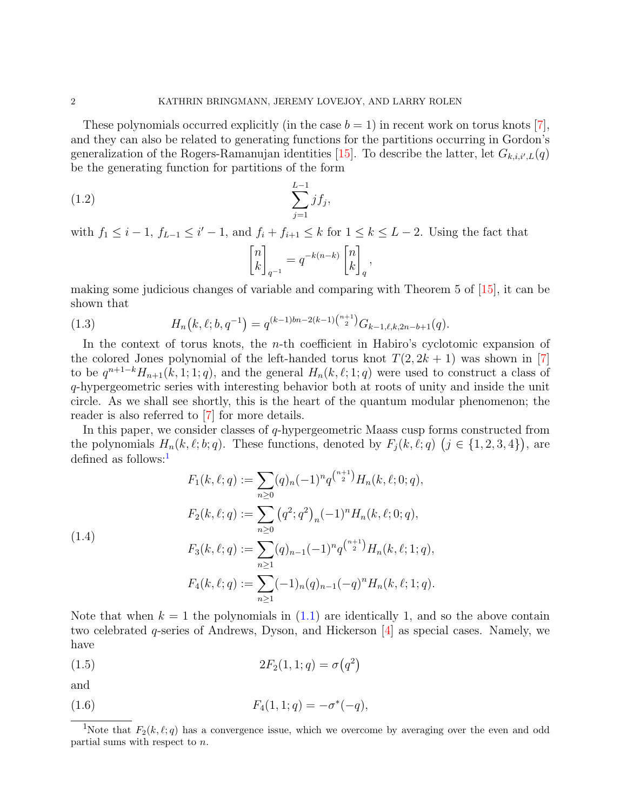These polynomials occurred explicitly (in the case  $b = 1$ ) in recent work on torus knots [\[7\]](#page-18-0), and they can also be related to generating functions for the partitions occurring in Gordon's generalization of the Rogers-Ramanujan identities [\[15\]](#page-18-1). To describe the latter, let  $G_{k,i,i',L}(q)$ be the generating function for partitions of the form

(1.2) 
$$
\sum_{j=1}^{L-1} j f_j,
$$

with  $f_1 \leq i-1$ ,  $f_{L-1} \leq i'-1$ , and  $f_i + f_{i+1} \leq k$  for  $1 \leq k \leq L-2$ . Using the fact that  $\lceil n \rceil$ k 1  $q^{-1}$  $=q^{-k(n-k)}\begin{bmatrix}n\\l_k\end{bmatrix}$ k 1 q ,

making some judicious changes of variable and comparing with Theorem 5 of [\[15\]](#page-18-1), it can be shown that

<span id="page-1-3"></span>(1.3) 
$$
H_n(k, \ell; b, q^{-1}) = q^{(k-1)bn - 2(k-1)\binom{n+1}{2}} G_{k-1, \ell, k, 2n - b + 1}(q).
$$

In the context of torus knots, the n-th coefficient in Habiro's cyclotomic expansion of the colored Jones polynomial of the left-handed torus knot  $T(2, 2k + 1)$  was shown in [\[7\]](#page-18-0) to be  $q^{n+1-k}H_{n+1}(k,1;1;q)$ , and the general  $H_n(k,\ell;1;q)$  were used to construct a class of q-hypergeometric series with interesting behavior both at roots of unity and inside the unit circle. As we shall see shortly, this is the heart of the quantum modular phenomenon; the reader is also referred to [\[7\]](#page-18-0) for more details.

In this paper, we consider classes of  $q$ -hypergeometric Maass cusp forms constructed from the polynomials  $H_n(k, \ell; b; q)$ . These functions, denoted by  $F_j(k, \ell; q)$   $(j \in \{1, 2, 3, 4\})$ , are defined as follows: $<sup>1</sup>$  $<sup>1</sup>$  $<sup>1</sup>$ </sup>

<span id="page-1-4"></span>
$$
F_1(k, \ell; q) := \sum_{n \ge 0} (q)_n (-1)^n q^{\binom{n+1}{2}} H_n(k, \ell; 0; q),
$$
  
\n
$$
F_2(k, \ell; q) := \sum_{n \ge 0} (q^2; q^2)_n (-1)^n H_n(k, \ell; 0; q),
$$
  
\n
$$
F_3(k, \ell; q) := \sum_{n \ge 1} (q)_{n-1} (-1)^n q^{\binom{n+1}{2}} H_n(k, \ell; 1; q),
$$
  
\n
$$
F_4(k, \ell; q) := \sum_{n \ge 1} (-1)_n (q)_{n-1} (-q)^n H_n(k, \ell; 1; q).
$$

Note that when  $k = 1$  the polynomials in  $(1.1)$  are identically 1, and so the above contain two celebrated q-series of Andrews, Dyson, and Hickerson [\[4\]](#page-18-2) as special cases. Namely, we have

<span id="page-1-1"></span>(1.5) 
$$
2F_2(1, 1; q) = \sigma(q^2)
$$

and

<span id="page-1-2"></span>(1.6) 
$$
F_4(1, 1; q) = -\sigma^*(-q),
$$

<span id="page-1-0"></span><sup>&</sup>lt;sup>1</sup>Note that  $F_2(k, \ell; q)$  has a convergence issue, which we overcome by averaging over the even and odd partial sums with respect to n.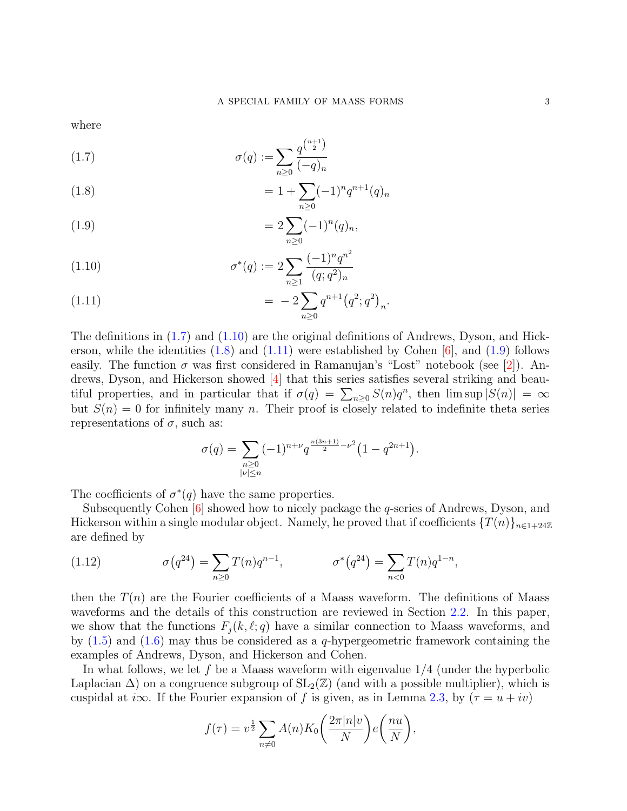where

<span id="page-2-0"></span>(1.7) 
$$
\sigma(q) := \sum_{n\geq 0} \frac{q^{\binom{n+1}{2}}}{(-q)_n}
$$

<span id="page-2-2"></span>(1.8) 
$$
= 1 + \sum_{n\geq 0} (-1)^n q^{n+1} (q)_n
$$

<span id="page-2-4"></span>(1.9) 
$$
=2\sum_{n\geq 0}(-1)^n(q)_n,
$$

<span id="page-2-1"></span>(1.10) 
$$
\sigma^*(q) := 2 \sum_{n \ge 1} \frac{(-1)^n q^{n^2}}{(q;q^2)_n}
$$

<span id="page-2-3"></span>(1.11) 
$$
= -2 \sum_{n\geq 0} q^{n+1} (q^2; q^2)_n.
$$

The definitions in [\(1.7\)](#page-2-0) and [\(1.10\)](#page-2-1) are the original definitions of Andrews, Dyson, and Hickerson, while the identities  $(1.8)$  and  $(1.11)$  were established by Cohen [\[6\]](#page-18-3), and  $(1.9)$  follows easily. The function  $\sigma$  was first considered in Ramanujan's "Lost" notebook (see [\[2\]](#page-18-4)). Andrews, Dyson, and Hickerson showed [\[4\]](#page-18-2) that this series satisfies several striking and beautiful properties, and in particular that if  $\sigma(q) = \sum_{n\geq 0} S(n)q^n$ , then  $\limsup |S(n)| = \infty$ but  $S(n) = 0$  for infinitely many n. Their proof is closely related to indefinite theta series representations of  $\sigma$ , such as:

$$
\sigma(q) = \sum_{\substack{n \geq 0 \\ |\nu| \leq n}} (-1)^{n+\nu} q^{\frac{n(3n+1)}{2} - \nu^2} \left(1 - q^{2n+1}\right).
$$

The coefficients of  $\sigma^*(q)$  have the same properties.

Subsequently Cohen  $[6]$  showed how to nicely package the *q*-series of Andrews, Dyson, and Hickerson within a single modular object. Namely, he proved that if coefficients  $\{T(n)\}_{n\in\text{1+24}\mathbb{Z}}$ are defined by

<span id="page-2-5"></span>(1.12) 
$$
\sigma(q^{24}) = \sum_{n\geq 0} T(n)q^{n-1}, \qquad \sigma^*(q^{24}) = \sum_{n<0} T(n)q^{1-n},
$$

then the  $T(n)$  are the Fourier coefficients of a Maass waveform. The definitions of Maass waveforms and the details of this construction are reviewed in Section [2.2.](#page-5-0) In this paper, we show that the functions  $F_i (k, \ell; q)$  have a similar connection to Maass waveforms, and by  $(1.5)$  and  $(1.6)$  may thus be considered as a q-hypergeometric framework containing the examples of Andrews, Dyson, and Hickerson and Cohen.

In what follows, we let f be a Maass waveform with eigenvalue  $1/4$  (under the hyperbolic Laplacian  $\Delta$ ) on a congruence subgroup of  $SL_2(\mathbb{Z})$  (and with a possible multiplier), which is cuspidal at i∞. If the Fourier expansion of f is given, as in Lemma [2.3,](#page-6-0) by  $(\tau = u + iv)$ 

$$
f(\tau) = v^{\frac{1}{2}} \sum_{n \neq 0} A(n) K_0\left(\frac{2\pi |n|v}{N}\right) e\left(\frac{nu}{N}\right),
$$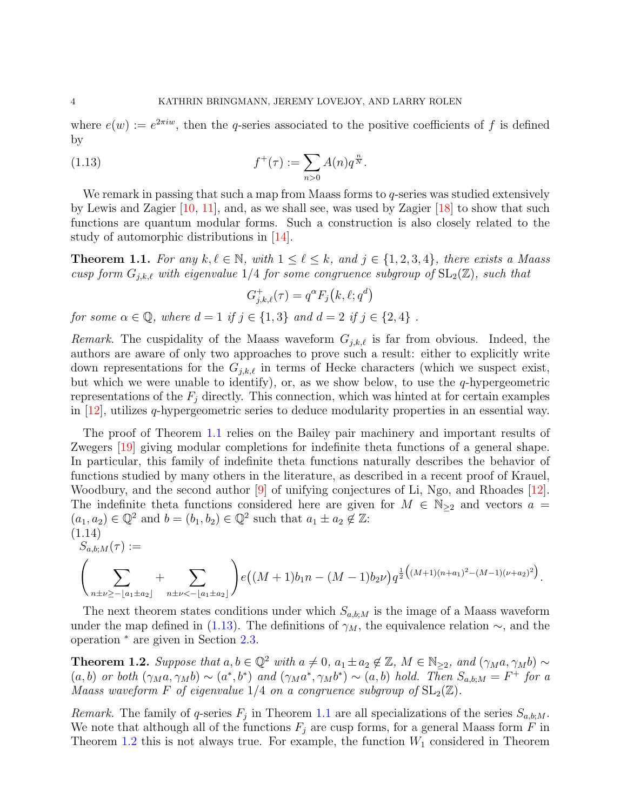where  $e(w) := e^{2\pi i w}$ , then the q-series associated to the positive coefficients of f is defined by

(1.13) 
$$
f^+(\tau) := \sum_{n>0} A(n) q^{\frac{n}{N}}.
$$

We remark in passing that such a map from Maass forms to q-series was studied extensively by Lewis and Zagier  $[10, 11]$  $[10, 11]$ , and, as we shall see, was used by Zagier  $[18]$  to show that such functions are quantum modular forms. Such a construction is also closely related to the study of automorphic distributions in [\[14\]](#page-18-8).

<span id="page-3-0"></span>**Theorem 1.1.** For any  $k, \ell \in \mathbb{N}$ , with  $1 \leq \ell \leq k$ , and  $j \in \{1, 2, 3, 4\}$ , there exists a Maass cusp form  $G_{j,k,\ell}$  with eigenvalue 1/4 for some congruence subgroup of  $SL_2(\mathbb{Z})$ , such that

<span id="page-3-1"></span>
$$
G_{j,k,\ell}^+(\tau) = q^{\alpha} F_j(k,\ell;q^d)
$$

for some  $\alpha \in \mathbb{Q}$ , where  $d = 1$  if  $j \in \{1,3\}$  and  $d = 2$  if  $j \in \{2,4\}$ .

*Remark.* The cuspidality of the Maass waveform  $G_{j,k,\ell}$  is far from obvious. Indeed, the authors are aware of only two approaches to prove such a result: either to explicitly write down representations for the  $G_{i,k,\ell}$  in terms of Hecke characters (which we suspect exist, but which we were unable to identify), or, as we show below, to use the  $q$ -hypergeometric representations of the  $F_i$  directly. This connection, which was hinted at for certain examples in  $[12]$ , utilizes q-hypergeometric series to deduce modularity properties in an essential way.

The proof of Theorem [1.1](#page-3-0) relies on the Bailey pair machinery and important results of Zwegers [\[19\]](#page-18-10) giving modular completions for indefinite theta functions of a general shape. In particular, this family of indefinite theta functions naturally describes the behavior of functions studied by many others in the literature, as described in a recent proof of Krauel, Woodbury, and the second author [\[9\]](#page-18-11) of unifying conjectures of Li, Ngo, and Rhoades [\[12\]](#page-18-9). The indefinite theta functions considered here are given for  $M \in \mathbb{N}_{\geq 2}$  and vectors  $a =$  $(a_1, a_2) \in \mathbb{Q}^2$  and  $b = (b_1, b_2) \in \mathbb{Q}^2$  such that  $a_1 \pm a_2 \notin \mathbb{Z}$ :  $(1.14)$ 

<span id="page-3-3"></span>
$$
S_{a,b;M}(\tau) :=
$$
  

$$
\left(\sum_{n \pm \nu \ge -[a_1 \pm a_2]} + \sum_{n \pm \nu < -[a_1 \pm a_2]} \right) e\left((M+1)b_1n - (M-1)b_2\nu\right) q^{\frac{1}{2}\left((M+1)(n+a_1)^2 - (M-1)(\nu+a_2)^2\right)}.
$$

The next theorem states conditions under which  $S_{a,b,M}$  is the image of a Maass waveform under the map defined in [\(1.13\)](#page-3-1). The definitions of  $\gamma_M$ , the equivalence relation  $\sim$ , and the operation <sup>∗</sup> are given in Section [2.3.](#page-7-0)

<span id="page-3-2"></span>**Theorem 1.2.** Suppose that  $a, b \in \mathbb{Q}^2$  with  $a \neq 0$ ,  $a_1 \pm a_2 \notin \mathbb{Z}$ ,  $M \in \mathbb{N}_{\geq 2}$ , and  $(\gamma_M a, \gamma_M b) \sim$  $(a, b)$  or both  $(\gamma_M a, \gamma_M b) \sim (a^*, b^*)$  and  $(\gamma_M a^*, \gamma_M b^*) \sim (a, b)$  hold. Then  $S_{a, b; M} = F^+$  for a Maass waveform F of eigenvalue 1/4 on a congruence subgroup of  $SL_2(\mathbb{Z})$ .

Remark. The family of q-series  $F_j$  in Theorem [1.1](#page-3-0) are all specializations of the series  $S_{a,b;M}$ . We note that although all of the functions  $F_j$  are cusp forms, for a general Maass form F in Theorem [1.2](#page-3-2) this is not always true. For example, the function  $W_1$  considered in Theorem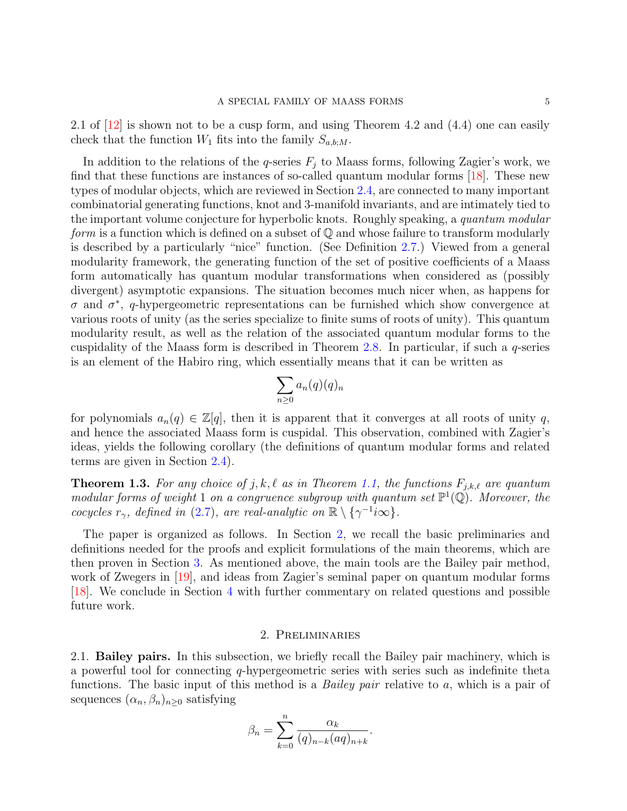2.1 of  $[12]$  is shown not to be a cusp form, and using Theorem 4.2 and  $(4.4)$  one can easily check that the function  $W_1$  fits into the family  $S_{a,b;M}$ .

In addition to the relations of the q-series  $F_j$  to Maass forms, following Zagier's work, we find that these functions are instances of so-called quantum modular forms [\[18\]](#page-18-7). These new types of modular objects, which are reviewed in Section [2.4,](#page-9-0) are connected to many important combinatorial generating functions, knot and 3-manifold invariants, and are intimately tied to the important volume conjecture for hyperbolic knots. Roughly speaking, a quantum modular *form* is a function which is defined on a subset of  $\mathbb{Q}$  and whose failure to transform modularly is described by a particularly "nice" function. (See Definition [2.7.](#page-9-1)) Viewed from a general modularity framework, the generating function of the set of positive coefficients of a Maass form automatically has quantum modular transformations when considered as (possibly divergent) asymptotic expansions. The situation becomes much nicer when, as happens for σ and σ ∗ , q-hypergeometric representations can be furnished which show convergence at various roots of unity (as the series specialize to finite sums of roots of unity). This quantum modularity result, as well as the relation of the associated quantum modular forms to the cuspidality of the Maass form is described in Theorem [2.8.](#page-10-0) In particular, if such a q-series is an element of the Habiro ring, which essentially means that it can be written as

$$
\sum_{n\geq 0} a_n(q)(q)_n
$$

for polynomials  $a_n(q) \in \mathbb{Z}[q]$ , then it is apparent that it converges at all roots of unity q, and hence the associated Maass form is cuspidal. This observation, combined with Zagier's ideas, yields the following corollary (the definitions of quantum modular forms and related terms are given in Section [2.4\)](#page-9-0).

<span id="page-4-2"></span>**Theorem 1.3.** For any choice of j, k,  $\ell$  as in Theorem [1.1,](#page-3-0) the functions  $F_{j,k,\ell}$  are quantum modular forms of weight 1 on a congruence subgroup with quantum set  $\mathbb{P}^1(\mathbb{Q})$ . Moreover, the cocycles  $r_{\gamma}$ , defined in [\(2.7\)](#page-9-1), are real-analytic on  $\mathbb{R} \setminus {\gamma^{-1}}_{i\infty}$ .

The paper is organized as follows. In Section [2,](#page-4-0) we recall the basic preliminaries and definitions needed for the proofs and explicit formulations of the main theorems, which are then proven in Section [3.](#page-12-0) As mentioned above, the main tools are the Bailey pair method, work of Zwegers in [\[19\]](#page-18-10), and ideas from Zagier's seminal paper on quantum modular forms [\[18\]](#page-18-7). We conclude in Section [4](#page-16-0) with further commentary on related questions and possible future work.

### 2. Preliminaries

<span id="page-4-0"></span>2.1. **Bailey pairs.** In this subsection, we briefly recall the Bailey pair machinery, which is a powerful tool for connecting  $q$ -hypergeometric series with series such as indefinite theta functions. The basic input of this method is a *Bailey pair* relative to a, which is a pair of sequences  $(\alpha_n, \beta_n)_{n>0}$  satisfying

<span id="page-4-1"></span>
$$
\beta_n = \sum_{k=0}^n \frac{\alpha_k}{(q)_{n-k}(aq)_{n+k}}.
$$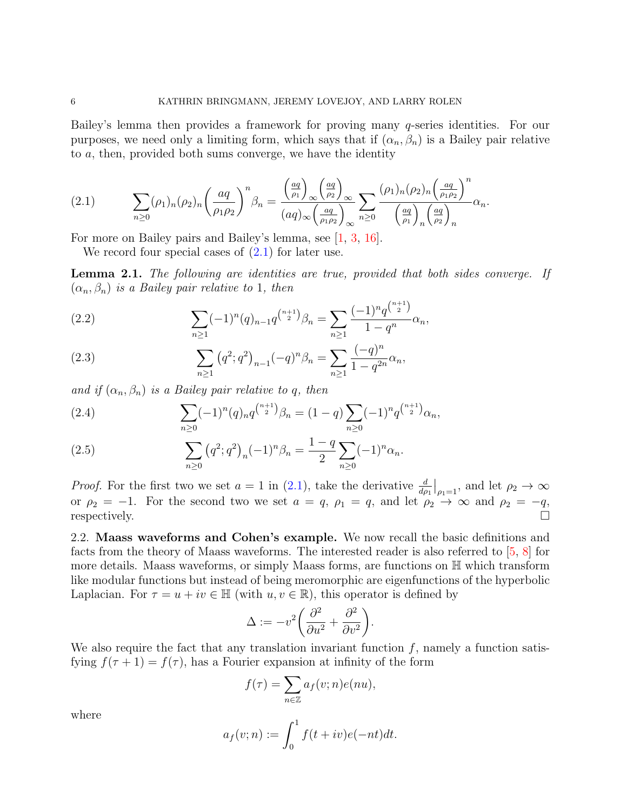Bailey's lemma then provides a framework for proving many q-series identities. For our purposes, we need only a limiting form, which says that if  $(\alpha_n, \beta_n)$  is a Bailey pair relative to a, then, provided both sums converge, we have the identity

$$
(2.1) \qquad \sum_{n\geq 0} (\rho_1)_n (\rho_2)_n \left(\frac{aq}{\rho_1 \rho_2}\right)^n \beta_n = \frac{\left(\frac{aq}{\rho_1}\right)_{\infty} \left(\frac{aq}{\rho_2}\right)_{\infty}}{(aq)_{\infty} \left(\frac{aq}{\rho_1 \rho_2}\right)_{\infty}} \sum_{n\geq 0} \frac{(\rho_1)_n (\rho_2)_n \left(\frac{aq}{\rho_1 \rho_2}\right)^n}{\left(\frac{aq}{\rho_1}\right)_n \left(\frac{aq}{\rho_2}\right)_n} \alpha_n.
$$

For more on Bailey pairs and Bailey's lemma, see [\[1,](#page-18-12) [3,](#page-18-13) [16\]](#page-18-14).

We record four special cases of  $(2.1)$  for later use.

**Lemma 2.1.** The following are identities are true, provided that both sides converge. If  $(\alpha_n, \beta_n)$  is a Bailey pair relative to 1, then

<span id="page-5-1"></span>(2.2) 
$$
\sum_{n\geq 1} (-1)^n (q)_{n-1} q^{\binom{n+1}{2}} \beta_n = \sum_{n\geq 1} \frac{(-1)^n q^{\binom{n+1}{2}}}{1 - q^n} \alpha_n,
$$

<span id="page-5-2"></span>(2.3) 
$$
\sum_{n\geq 1} (q^2;q^2)_{n-1}(-q)^n \beta_n = \sum_{n\geq 1} \frac{(-q)^n}{1-q^{2n}} \alpha_n,
$$

and if  $(\alpha_n, \beta_n)$  is a Bailey pair relative to q, then

<span id="page-5-3"></span>(2.4) 
$$
\sum_{n\geq 0} (-1)^n (q)_n q^{\binom{n+1}{2}} \beta_n = (1-q) \sum_{n\geq 0} (-1)^n q^{\binom{n+1}{2}} \alpha_n,
$$

<span id="page-5-4"></span>(2.5) 
$$
\sum_{n\geq 0} (q^2;q^2)_n (-1)^n \beta_n = \frac{1-q}{2} \sum_{n\geq 0} (-1)^n \alpha_n.
$$

*Proof.* For the first two we set  $a = 1$  in [\(2.1\)](#page-4-1), take the derivative  $\frac{d}{d\rho_1}\Big|_{\rho_1=1}$ , and let  $\rho_2 \to \infty$ or  $\rho_2 = -1$ . For the second two we set  $a = q$ ,  $\rho_1 = q$ , and let  $\rho_2 \rightarrow \infty$  and  $\rho_2 = -q$ , respectively.  $\square$ 

<span id="page-5-0"></span>2.2. Maass waveforms and Cohen's example. We now recall the basic definitions and facts from the theory of Maass waveforms. The interested reader is also referred to [\[5,](#page-18-15) [8\]](#page-18-16) for more details. Maass waveforms, or simply Maass forms, are functions on H which transform like modular functions but instead of being meromorphic are eigenfunctions of the hyperbolic Laplacian. For  $\tau = u + iv \in \mathbb{H}$  (with  $u, v \in \mathbb{R}$ ), this operator is defined by

$$
\Delta := -v^2 \bigg( \frac{\partial^2}{\partial u^2} + \frac{\partial^2}{\partial v^2} \bigg).
$$

We also require the fact that any translation invariant function  $f$ , namely a function satisfying  $f(\tau + 1) = f(\tau)$ , has a Fourier expansion at infinity of the form

$$
f(\tau) = \sum_{n \in \mathbb{Z}} a_f(v; n) e(nu),
$$

where

$$
a_f(v; n) := \int_0^1 f(t + iv)e(-nt)dt.
$$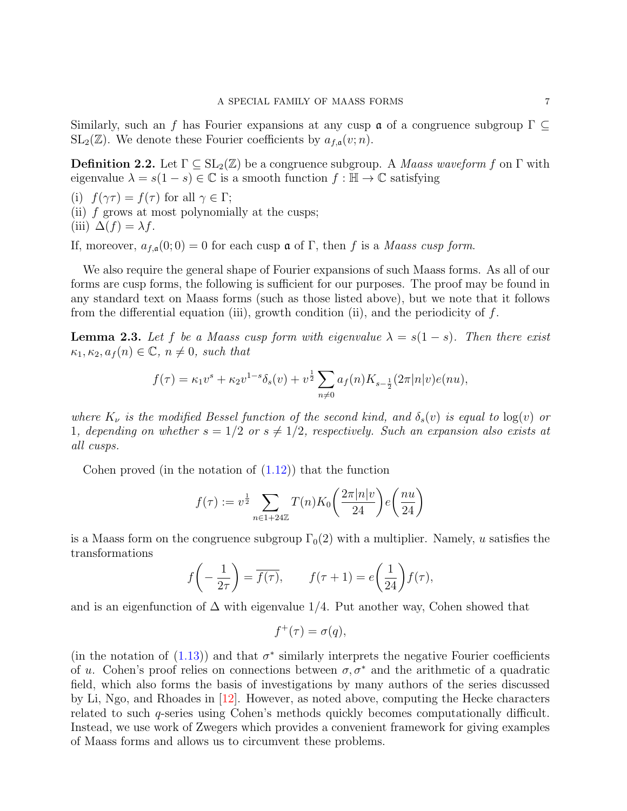Similarly, such an f has Fourier expansions at any cusp  $\alpha$  of a congruence subgroup  $\Gamma \subseteq$  $SL_2(\mathbb{Z})$ . We denote these Fourier coefficients by  $a_{f,\mathfrak{a}}(v; n)$ .

**Definition 2.2.** Let  $\Gamma \subseteq SL_2(\mathbb{Z})$  be a congruence subgroup. A *Maass waveform f* on  $\Gamma$  with eigenvalue  $\lambda = s(1-s) \in \mathbb{C}$  is a smooth function  $f : \mathbb{H} \to \mathbb{C}$  satisfying

- (i)  $f(\gamma \tau) = f(\tau)$  for all  $\gamma \in \Gamma$ ;
- (ii) f grows at most polynomially at the cusps; (iii)  $\Delta(f) = \lambda f$ .

If, moreover,  $a_{f,a}(0;0) = 0$  for each cusp  $\mathfrak a$  of  $\Gamma$ , then f is a *Maass cusp form*.

We also require the general shape of Fourier expansions of such Maass forms. As all of our forms are cusp forms, the following is sufficient for our purposes. The proof may be found in any standard text on Maass forms (such as those listed above), but we note that it follows from the differential equation (iii), growth condition (ii), and the periodicity of  $f$ .

<span id="page-6-0"></span>**Lemma 2.3.** Let f be a Maass cusp form with eigenvalue  $\lambda = s(1-s)$ . Then there exist  $\kappa_1, \kappa_2, a_f(n) \in \mathbb{C}, n \neq 0$ , such that

$$
f(\tau) = \kappa_1 v^s + \kappa_2 v^{1-s} \delta_s(v) + v^{\frac{1}{2}} \sum_{n \neq 0} a_f(n) K_{s - \frac{1}{2}}(2\pi |n|v) e(nu),
$$

where  $K_{\nu}$  is the modified Bessel function of the second kind, and  $\delta_{s}(v)$  is equal to  $\log(v)$  or 1, depending on whether  $s = 1/2$  or  $s \neq 1/2$ , respectively. Such an expansion also exists at all cusps.

Cohen proved (in the notation of  $(1.12)$ ) that the function

<span id="page-6-1"></span>
$$
f(\tau) := v^{\frac{1}{2}} \sum_{n \in 1+24\mathbb{Z}} T(n) K_0\left(\frac{2\pi |n|v}{24}\right) e\left(\frac{nu}{24}\right)
$$

is a Maass form on the congruence subgroup  $\Gamma_0(2)$  with a multiplier. Namely, u satisfies the transformations

$$
f\left(-\frac{1}{2\tau}\right) = \overline{f(\tau)}, \qquad f(\tau + 1) = e\left(\frac{1}{24}\right)f(\tau),
$$

and is an eigenfunction of  $\Delta$  with eigenvalue 1/4. Put another way, Cohen showed that

$$
f^+(\tau) = \sigma(q),
$$

(in the notation of  $(1.13)$ ) and that  $\sigma^*$  similarly interprets the negative Fourier coefficients of u. Cohen's proof relies on connections between  $\sigma, \sigma^*$  and the arithmetic of a quadratic field, which also forms the basis of investigations by many authors of the series discussed by Li, Ngo, and Rhoades in [\[12\]](#page-18-9). However, as noted above, computing the Hecke characters related to such q-series using Cohen's methods quickly becomes computationally difficult. Instead, we use work of Zwegers which provides a convenient framework for giving examples of Maass forms and allows us to circumvent these problems.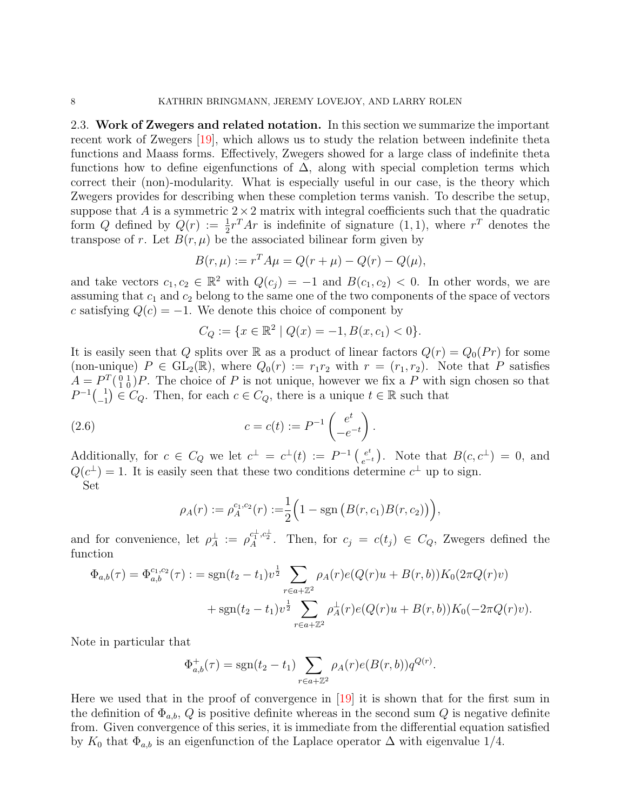<span id="page-7-0"></span>2.3. Work of Zwegers and related notation. In this section we summarize the important recent work of Zwegers [\[19\]](#page-18-10), which allows us to study the relation between indefinite theta functions and Maass forms. Effectively, Zwegers showed for a large class of indefinite theta functions how to define eigenfunctions of  $\Delta$ , along with special completion terms which correct their (non)-modularity. What is especially useful in our case, is the theory which Zwegers provides for describing when these completion terms vanish. To describe the setup, suppose that A is a symmetric  $2 \times 2$  matrix with integral coefficients such that the quadratic form Q defined by  $Q(r) := \frac{1}{2}r^{T}Ar$  is indefinite of signature  $(1, 1)$ , where  $r^{T}$  denotes the transpose of r. Let  $B(r, \mu)$  be the associated bilinear form given by

$$
B(r, \mu) := r^T A \mu = Q(r + \mu) - Q(r) - Q(\mu),
$$

and take vectors  $c_1, c_2 \in \mathbb{R}^2$  with  $Q(c_j) = -1$  and  $B(c_1, c_2) < 0$ . In other words, we are assuming that  $c_1$  and  $c_2$  belong to the same one of the two components of the space of vectors c satisfying  $Q(c) = -1$ . We denote this choice of component by

$$
C_Q := \{ x \in \mathbb{R}^2 \mid Q(x) = -1, B(x, c_1) < 0 \}.
$$

It is easily seen that Q splits over R as a product of linear factors  $Q(r) = Q_0(Pr)$  for some (non-unique)  $P \in GL_2(\mathbb{R})$ , where  $Q_0(r) := r_1r_2$  with  $r = (r_1, r_2)$ . Note that P satisfies  $A = P^T(\begin{smallmatrix} 0 & 1 \\ 1 & 0 \end{smallmatrix})P$ . The choice of P is not unique, however we fix a P with sign chosen so that  $P^{-1}$  $\binom{1}{-1}$  $\binom{1}{-1} \in C_Q$ . Then, for each  $c \in C_Q$ , there is a unique  $t \in \mathbb{R}$  such that

(2.6) 
$$
c = c(t) := P^{-1} \begin{pmatrix} e^t \\ -e^{-t} \end{pmatrix}.
$$

Additionally, for  $c \in C_Q$  we let  $c^{\perp} = c^{\perp}(t) := P^{-1} \begin{pmatrix} e^t \\ e^{-t} \end{pmatrix}$  $e_{e^{-t}}^{e^{t}}$ ). Note that  $B(c, c^{\perp}) = 0$ , and  $Q(c^{\perp}) = 1$ . It is easily seen that these two conditions determine  $c^{\perp}$  up to sign. Set

$$
\rho_A(r) := \rho_A^{c_1, c_2}(r) := \frac{1}{2} \Big( 1 - \text{sgn} \left( B(r, c_1) B(r, c_2) \right) \Big),
$$

and for convenience, let  $\rho_A^{\perp} := \rho_A^{c_1^{\perp}, c_2^{\perp}}$ . Then, for  $c_j = c(t_j) \in C_Q$ , Zwegers defined the function

$$
\Phi_{a,b}(\tau) = \Phi_{a,b}^{c_1,c_2}(\tau) : = \operatorname{sgn}(t_2 - t_1) v^{\frac{1}{2}} \sum_{r \in a + \mathbb{Z}^2} \rho_A(r) e(Q(r)u + B(r,b)) K_0(2\pi Q(r)v) \n+ \operatorname{sgn}(t_2 - t_1) v^{\frac{1}{2}} \sum_{r \in a + \mathbb{Z}^2} \rho_A^{\perp}(r) e(Q(r)u + B(r,b)) K_0(-2\pi Q(r)v).
$$

Note in particular that

$$
\Phi_{a,b}^+(\tau) = \text{sgn}(t_2 - t_1) \sum_{r \in a + \mathbb{Z}^2} \rho_A(r) e(B(r, b)) q^{Q(r)}.
$$

Here we used that in the proof of convergence in [\[19\]](#page-18-10) it is shown that for the first sum in the definition of  $\Phi_{a,b}, Q$  is positive definite whereas in the second sum Q is negative definite from. Given convergence of this series, it is immediate from the differential equation satisfied by  $K_0$  that  $\Phi_{a,b}$  is an eigenfunction of the Laplace operator  $\Delta$  with eigenvalue 1/4.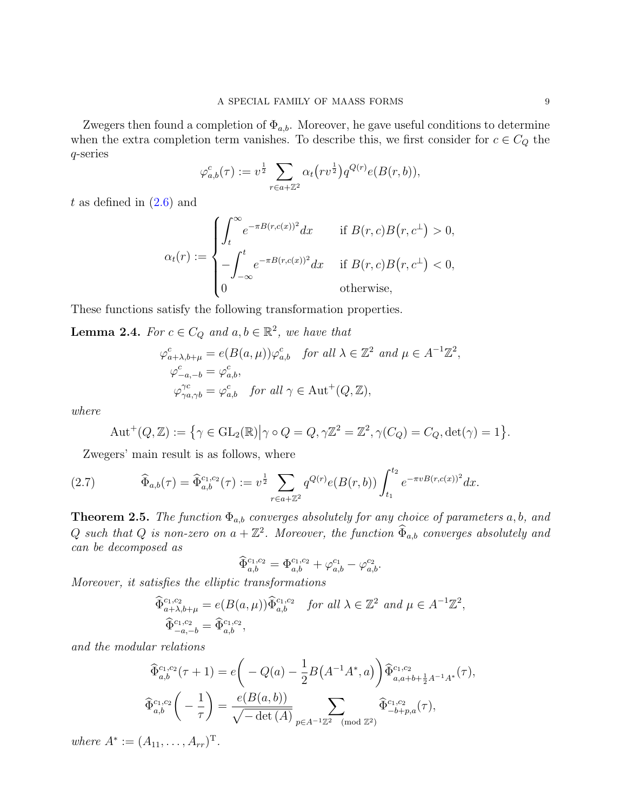Zwegers then found a completion of  $\Phi_{a,b}$ . Moreover, he gave useful conditions to determine when the extra completion term vanishes. To describe this, we first consider for  $c \in C_Q$  the q-series

$$
\varphi_{a,b}^c(\tau) := v^{\frac{1}{2}} \sum_{r \in a + \mathbb{Z}^2} \alpha_t \big( r v^{\frac{1}{2}} \big) q^{Q(r)} e(B(r, b)),
$$

t as defined in  $(2.6)$  and

$$
\alpha_t(r) := \begin{cases} \int_t^\infty e^{-\pi B(r,c(x))^2} dx & \text{if } B(r,c)B(r,c^{\perp}) > 0, \\ -\int_{-\infty}^t e^{-\pi B(r,c(x))^2} dx & \text{if } B(r,c)B(r,c^{\perp}) < 0, \\ 0 & \text{otherwise,} \end{cases}
$$

These functions satisfy the following transformation properties.

<span id="page-8-2"></span>**Lemma 2.4.** For  $c \in C_Q$  and  $a, b \in \mathbb{R}^2$ , we have that

$$
\varphi_{a+\lambda,b+\mu}^c = e(B(a,\mu))\varphi_{a,b}^c \quad \text{for all } \lambda \in \mathbb{Z}^2 \text{ and } \mu \in A^{-1}\mathbb{Z}^2,
$$
  

$$
\varphi_{-a,-b}^c = \varphi_{a,b}^c,
$$
  

$$
\varphi_{\gamma a,\gamma b}^{\gamma c} = \varphi_{a,b}^c \quad \text{for all } \gamma \in \text{Aut}^+(Q,\mathbb{Z}),
$$

where

<span id="page-8-1"></span>
$$
\operatorname{Aut}^+(Q,\mathbb{Z}) := \left\{ \gamma \in \operatorname{GL}_2(\mathbb{R}) \middle| \gamma \circ Q = Q, \gamma \mathbb{Z}^2 = \mathbb{Z}^2, \gamma(C_Q) = C_Q, \det(\gamma) = 1 \right\}.
$$

Zwegers' main result is as follows, where

(2.7) 
$$
\widehat{\Phi}_{a,b}(\tau) = \widehat{\Phi}_{a,b}^{c_1,c_2}(\tau) := v^{\frac{1}{2}} \sum_{r \in a + \mathbb{Z}^2} q^{Q(r)} e(B(r,b)) \int_{t_1}^{t_2} e^{-\pi v B(r,c(x))^2} dx.
$$

<span id="page-8-3"></span>**Theorem 2.5.** The function  $\Phi_{a,b}$  converges absolutely for any choice of parameters a, b, and Q such that Q is non-zero on  $a + \mathbb{Z}^2$ . Moreover, the function  $\widehat{\Phi}_{a,b}$  converges absolutely and can be decomposed as

<span id="page-8-0"></span>
$$
\widehat{\Phi}_{a,b}^{c_1,c_2} = \Phi_{a,b}^{c_1,c_2} + \varphi_{a,b}^{c_1} - \varphi_{a,b}^{c_2}.
$$

Moreover, it satisfies the elliptic transformations

$$
\begin{aligned}\n\widehat{\Phi}_{a+\lambda,b+\mu}^{c_1,c_2} &= e(B(a,\mu)) \widehat{\Phi}_{a,b}^{c_1,c_2} \quad \text{for all } \lambda \in \mathbb{Z}^2 \text{ and } \mu \in A^{-1}\mathbb{Z}^2, \\
\widehat{\Phi}_{-a,-b}^{c_1,c_2} &= \widehat{\Phi}_{a,b}^{c_1,c_2},\n\end{aligned}
$$

and the modular relations

$$
\begin{aligned}\n\widehat{\Phi}_{a,b}^{c_1,c_2}(\tau+1) &= e\bigg(-Q(a) - \frac{1}{2}B(A^{-1}A^*,a)\bigg)\widehat{\Phi}_{a,a+b+\frac{1}{2}A^{-1}A^*}^{c_1,c_2}(\tau),\\
\widehat{\Phi}_{a,b}^{c_1,c_2}\bigg(-\frac{1}{\tau}\bigg) &= \frac{e(B(a,b))}{\sqrt{-\det(A)}}\sum_{p\in A^{-1}\mathbb{Z}^2\pmod{\mathbb{Z}^2}}\widehat{\Phi}_{-b+p,a}^{c_1,c_2}(\tau),\n\end{aligned}
$$

where  $A^* := (A_{11}, \ldots, A_{rr})^T$ .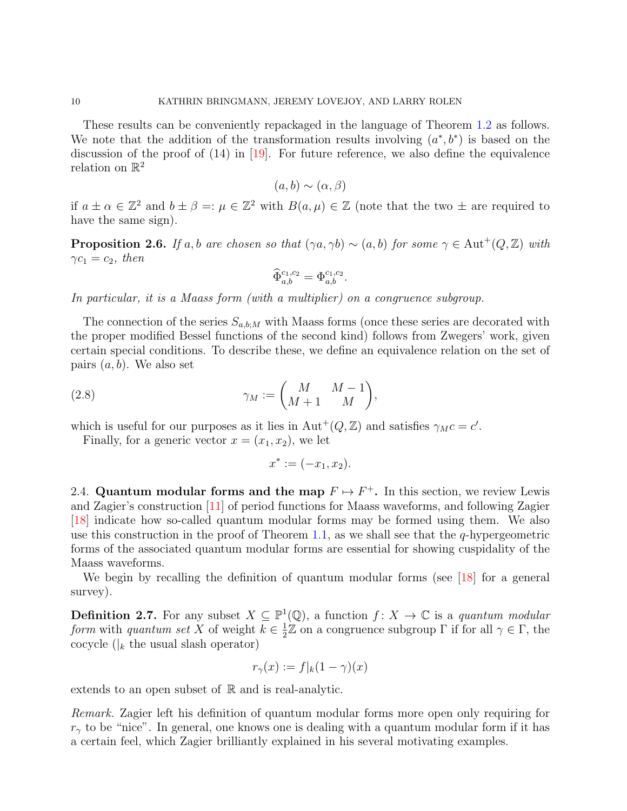These results can be conveniently repackaged in the language of Theorem [1.2](#page-3-2) as follows. We note that the addition of the transformation results involving  $(a^*,b^*)$  is based on the discussion of the proof of  $(14)$  in [\[19\]](#page-18-10). For future reference, we also define the equivalence relation on  $\mathbb{R}^2$ 

$$
(a, b) \sim (\alpha, \beta)
$$

if  $a \pm \alpha \in \mathbb{Z}^2$  and  $b \pm \beta =: \mu \in \mathbb{Z}^2$  with  $B(a, \mu) \in \mathbb{Z}$  (note that the two  $\pm$  are required to have the same sign).

<span id="page-9-2"></span>**Proposition 2.6.** If a, b are chosen so that  $(\gamma a, \gamma b) \sim (a, b)$  for some  $\gamma \in \text{Aut}^+(Q, \mathbb{Z})$  with  $\gamma c_1 = c_2$ , then

$$
\widehat{\Phi}_{a,b}^{c_1,c_2} = \Phi_{a,b}^{c_1,c_2}.
$$

In particular, it is a Maass form (with a multiplier) on a congruence subgroup.

The connection of the series  $S_{a,b,M}$  with Maass forms (once these series are decorated with the proper modified Bessel functions of the second kind) follows from Zwegers' work, given certain special conditions. To describe these, we define an equivalence relation on the set of pairs  $(a, b)$ . We also set

(2.8) 
$$
\gamma_M := \begin{pmatrix} M & M-1 \\ M+1 & M \end{pmatrix},
$$

which is useful for our purposes as it lies in  $\text{Aut}^+(Q,\mathbb{Z})$  and satisfies  $\gamma_M c = c'$ .

Finally, for a generic vector  $x = (x_1, x_2)$ , we let

$$
x^* := (-x_1, x_2).
$$

<span id="page-9-0"></span>2.4. Quantum modular forms and the map  $F \mapsto F^+$ . In this section, we review Lewis and Zagier's construction [\[11\]](#page-18-6) of period functions for Maass waveforms, and following Zagier [\[18\]](#page-18-7) indicate how so-called quantum modular forms may be formed using them. We also use this construction in the proof of Theorem [1.1,](#page-3-0) as we shall see that the  $q$ -hypergeometric forms of the associated quantum modular forms are essential for showing cuspidality of the Maass waveforms.

We begin by recalling the definition of quantum modular forms (see  $|18|$  for a general survey).

<span id="page-9-1"></span>**Definition 2.7.** For any subset  $X \subseteq \mathbb{P}^1(\mathbb{Q})$ , a function  $f: X \to \mathbb{C}$  is a quantum modular form with quantum set X of weight  $k \in \frac{1}{2}$  $\frac{1}{2}\mathbb{Z}$  on a congruence subgroup  $\Gamma$  if for all  $\gamma \in \Gamma$ , the cocycle ( $\vert_k$  the usual slash operator)

$$
r_{\gamma}(x) := f|_{k}(1 - \gamma)(x)
$$

extends to an open subset of  $\mathbb R$  and is real-analytic.

Remark. Zagier left his definition of quantum modular forms more open only requiring for  $r_{\gamma}$  to be "nice". In general, one knows one is dealing with a quantum modular form if it has a certain feel, which Zagier brilliantly explained in his several motivating examples.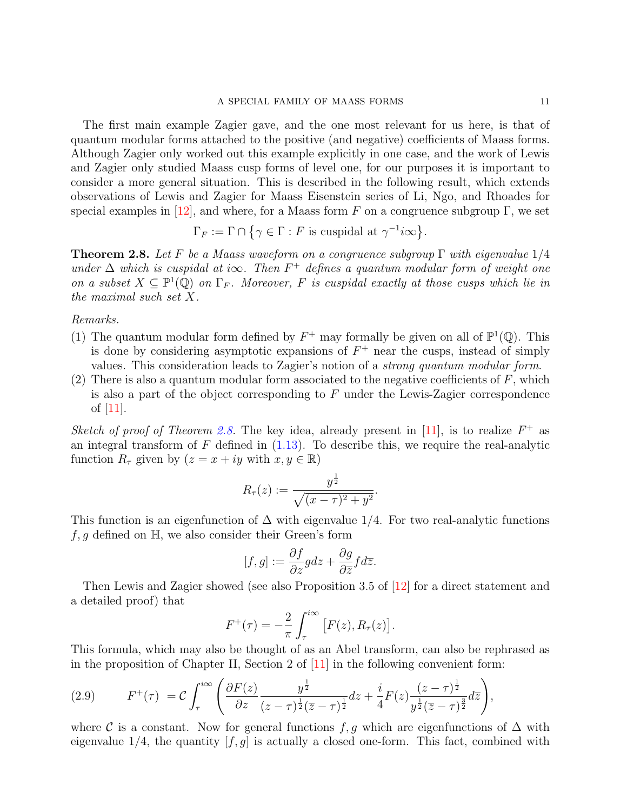The first main example Zagier gave, and the one most relevant for us here, is that of quantum modular forms attached to the positive (and negative) coefficients of Maass forms. Although Zagier only worked out this example explicitly in one case, and the work of Lewis and Zagier only studied Maass cusp forms of level one, for our purposes it is important to consider a more general situation. This is described in the following result, which extends observations of Lewis and Zagier for Maass Eisenstein series of Li, Ngo, and Rhoades for special examples in [\[12\]](#page-18-9), and where, for a Maass form F on a congruence subgroup  $\Gamma$ , we set

$$
\Gamma_F := \Gamma \cap \{ \gamma \in \Gamma : F \text{ is cuspidal at } \gamma^{-1} i\infty \}.
$$

<span id="page-10-0"></span>**Theorem 2.8.** Let F be a Maass waveform on a congruence subgroup  $\Gamma$  with eigenvalue  $1/4$ under  $\Delta$  which is cuspidal at i $\infty$ . Then  $F^+$  defines a quantum modular form of weight one on a subset  $X \subseteq \mathbb{P}^1(\mathbb{Q})$  on  $\Gamma_F$ . Moreover, F is cuspidal exactly at those cusps which lie in the maximal such set X.

Remarks.

- (1) The quantum modular form defined by  $F^+$  may formally be given on all of  $\mathbb{P}^1(\mathbb{Q})$ . This is done by considering asymptotic expansions of  $F^+$  near the cusps, instead of simply values. This consideration leads to Zagier's notion of a strong quantum modular form.
- (2) There is also a quantum modular form associated to the negative coefficients of  $F$ , which is also a part of the object corresponding to  $F$  under the Lewis-Zagier correspondence of  $|11|$ .

Sketch of proof of Theorem [2.8.](#page-10-0) The key idea, already present in [\[11\]](#page-18-6), is to realize  $F^+$  as an integral transform of  $F$  defined in  $(1.13)$ . To describe this, we require the real-analytic function  $R_{\tau}$  given by  $(z = x + iy \text{ with } x, y \in \mathbb{R})$ 

$$
R_{\tau}(z) := \frac{y^{\frac{1}{2}}}{\sqrt{(x-\tau)^2 + y^2}}.
$$

This function is an eigenfunction of  $\Delta$  with eigenvalue 1/4. For two real-analytic functions  $f, g$  defined on  $\mathbb{H}$ , we also consider their Green's form

$$
[f,g] := \frac{\partial f}{\partial z} g dz + \frac{\partial g}{\partial \overline{z}} f d\overline{z}.
$$

Then Lewis and Zagier showed (see also Proposition 3.5 of [\[12\]](#page-18-9) for a direct statement and a detailed proof) that

$$
F^{+}(\tau) = -\frac{2}{\pi} \int_{\tau}^{i\infty} [F(z), R_{\tau}(z)].
$$

This formula, which may also be thought of as an Abel transform, can also be rephrased as in the proposition of Chapter II, Section 2 of [\[11\]](#page-18-6) in the following convenient form:

(2.9) 
$$
F^{+}(\tau) = C \int_{\tau}^{i\infty} \left( \frac{\partial F(z)}{\partial z} \frac{y^{\frac{1}{2}}}{(z-\tau)^{\frac{1}{2}} (\overline{z}-\tau)^{\frac{1}{2}}} dz + \frac{i}{4} F(z) \frac{(z-\tau)^{\frac{1}{2}}}{y^{\frac{1}{2}} (\overline{z}-\tau)^{\frac{3}{2}}} d\overline{z} \right),
$$

where C is a constant. Now for general functions f, g which are eigenfunctions of  $\Delta$  with eigenvalue  $1/4$ , the quantity  $[f, g]$  is actually a closed one-form. This fact, combined with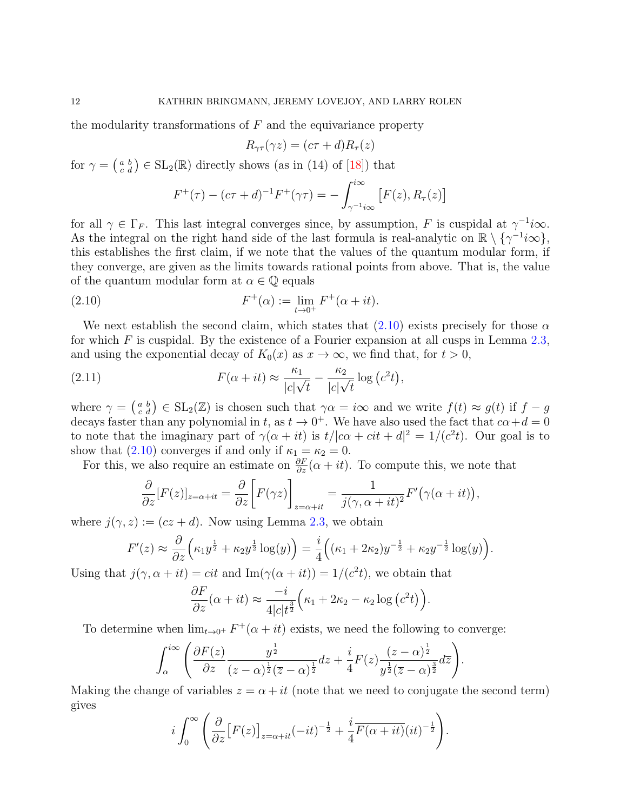the modularity transformations of  $F$  and the equivariance property

$$
R_{\gamma\tau}(\gamma z) = (c\tau + d)R_{\tau}(z)
$$

for  $\gamma = \begin{pmatrix} a & b \\ c & d \end{pmatrix} \in SL_2(\mathbb{R})$  directly shows (as in (14) of [\[18\]](#page-18-7)) that

<span id="page-11-0"></span>
$$
F^{+}(\tau) - (c\tau + d)^{-1} F^{+}(\gamma \tau) = - \int_{\gamma^{-1} i\infty}^{i\infty} [F(z), R_{\tau}(z)]
$$

for all  $\gamma \in \Gamma_F$ . This last integral converges since, by assumption, F is cuspidal at  $\gamma^{-1}i\infty$ . As the integral on the right hand side of the last formula is real-analytic on  $\mathbb{R} \setminus {\{\gamma^{-1}}i\infty\}$ , this establishes the first claim, if we note that the values of the quantum modular form, if they converge, are given as the limits towards rational points from above. That is, the value of the quantum modular form at  $\alpha \in \mathbb{Q}$  equals

(2.10) 
$$
F^+(\alpha) := \lim_{t \to 0^+} F^+(\alpha + it).
$$

We next establish the second claim, which states that  $(2.10)$  exists precisely for those  $\alpha$ for which F is cuspidal. By the existence of a Fourier expansion at all cusps in Lemma  $2.3$ , and using the exponential decay of  $K_0(x)$  as  $x \to \infty$ , we find that, for  $t > 0$ ,

(2.11) 
$$
F(\alpha + it) \approx \frac{\kappa_1}{|c|\sqrt{t}} - \frac{\kappa_2}{|c|\sqrt{t}} \log (c^2 t),
$$

where  $\gamma = \begin{pmatrix} a & b \\ c & d \end{pmatrix} \in SL_2(\mathbb{Z})$  is chosen such that  $\gamma \alpha = i\infty$  and we write  $f(t) \approx g(t)$  if  $f - g$ decays faster than any polynomial in t, as  $t \to 0^+$ . We have also used the fact that  $c\alpha + d = 0$ to note that the imaginary part of  $\gamma(\alpha + it)$  is  $t/|\alpha \alpha + cit + d|^2 = 1/(c^2t)$ . Our goal is to show that [\(2.10\)](#page-11-0) converges if and only if  $\kappa_1 = \kappa_2 = 0$ .

For this, we also require an estimate on  $\frac{\partial F}{\partial z}(\alpha + it)$ . To compute this, we note that

$$
\frac{\partial}{\partial z}[F(z)]_{z=\alpha+it} = \frac{\partial}{\partial z}\bigg[F(\gamma z)\bigg]_{z=\alpha+it} = \frac{1}{j(\gamma,\alpha+it)^2}F'(\gamma(\alpha+it)),
$$

where  $j(\gamma, z) := (cz + d)$ . Now using Lemma [2.3,](#page-6-0) we obtain

$$
F'(z) \approx \frac{\partial}{\partial z} \left( \kappa_1 y^{\frac{1}{2}} + \kappa_2 y^{\frac{1}{2}} \log(y) \right) = \frac{i}{4} \left( (\kappa_1 + 2\kappa_2) y^{-\frac{1}{2}} + \kappa_2 y^{-\frac{1}{2}} \log(y) \right).
$$

Using that  $j(\gamma, \alpha + it) = cit$  and  $\text{Im}(\gamma(\alpha + it)) = 1/(c^2t)$ , we obtain that

$$
\frac{\partial F}{\partial z}(\alpha + it) \approx \frac{-i}{4|c|t^{\frac{3}{2}}} \left(\kappa_1 + 2\kappa_2 - \kappa_2 \log\left(c^2 t\right)\right).
$$

To determine when  $\lim_{t\to 0^+} F^+(\alpha+it)$  exists, we need the following to converge:

$$
\int_{\alpha}^{i\infty} \left( \frac{\partial F(z)}{\partial z} \frac{y^{\frac{1}{2}}}{(z-\alpha)^{\frac{1}{2}} (\overline{z}-\alpha)^{\frac{1}{2}}} dz + \frac{i}{4} F(z) \frac{(z-\alpha)^{\frac{1}{2}}}{y^{\frac{1}{2}} (\overline{z}-\alpha)^{\frac{3}{2}}} d\overline{z} \right).
$$

Making the change of variables  $z = \alpha + it$  (note that we need to conjugate the second term) gives

$$
i\int_0^\infty \left(\frac{\partial}{\partial z}\big[F(z)\big]_{z=\alpha+it}\left(-it\right)^{-\frac{1}{2}}+\frac{i}{4}\overline{F(\alpha+it)}(it)^{-\frac{1}{2}}\right).
$$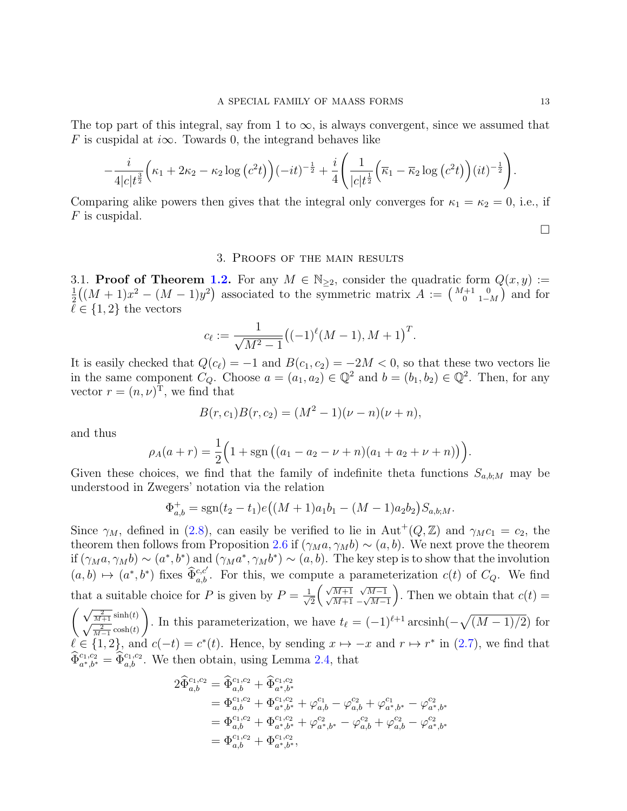The top part of this integral, say from 1 to  $\infty$ , is always convergent, since we assumed that F is cuspidal at  $i\infty$ . Towards 0, the integrand behaves like

$$
-\frac{i}{4|c|t^{\frac{3}{2}}}\Big(\kappa_{1}+2\kappa_{2}-\kappa_{2}\log\big(c^{2}t\big)\Big)(-it)^{-\frac{1}{2}}+\frac{i}{4}\Bigg(\frac{1}{|c|t^{\frac{1}{2}}}\Big(\overline{\kappa}_{1}-\overline{\kappa}_{2}\log\big(c^{2}t\big)\Big)(it)^{-\frac{1}{2}}\Bigg).
$$

Comparing alike powers then gives that the integral only converges for  $\kappa_1 = \kappa_2 = 0$ , i.e., if F is cuspidal.

### $\Box$

## 3. Proofs of the main results

<span id="page-12-0"></span>3.1. **Proof of Theorem [1.2.](#page-3-2)** For any  $M \in \mathbb{N}_{\geq 2}$ , consider the quadratic form  $Q(x, y) :=$ 1  $\frac{1}{2}((M+1)x^2 - (M-1)y^2)$  associated to the symmetric matrix  $A := \begin{pmatrix} M+1 & 0 \\ 0 & 1-M \end{pmatrix}$  and for  $\ell \in \{1, 2\}$  the vectors

$$
c_{\ell} := \frac{1}{\sqrt{M^2 - 1}} \big( (-1)^{\ell} (M - 1), M + 1 \big)^T.
$$

It is easily checked that  $Q(c_{\ell}) = -1$  and  $B(c_1, c_2) = -2M < 0$ , so that these two vectors lie in the same component  $C_Q$ . Choose  $a = (a_1, a_2) \in \mathbb{Q}^2$  and  $b = (b_1, b_2) \in \mathbb{Q}^2$ . Then, for any vector  $r = (n, \nu)^T$ , we find that

$$
B(r, c_1)B(r, c_2) = (M^2 - 1)(\nu - n)(\nu + n),
$$

and thus

$$
\rho_A(a+r) = \frac{1}{2} \Big( 1 + \text{sgn} \left( (a_1 - a_2 - \nu + n)(a_1 + a_2 + \nu + n) \right) \Big).
$$

Given these choices, we find that the family of indefinite theta functions  $S_{a,b;M}$  may be understood in Zwegers' notation via the relation

$$
\Phi_{a,b}^+ = \text{sgn}(t_2 - t_1)e\big((M+1)a_1b_1 - (M-1)a_2b_2\big)S_{a,b;M}.
$$

Since  $\gamma_M$ , defined in [\(2.8\)](#page-8-0), can easily be verified to lie in Aut<sup>+</sup>( $Q$ ,  $\mathbb{Z}$ ) and  $\gamma_M c_1 = c_2$ , the theorem then follows from Proposition [2.6](#page-9-2) if  $(\gamma_M a, \gamma_M b) \sim (a, b)$ . We next prove the theorem if  $(\gamma_M a, \gamma_M b) \sim (a^*, b^*)$  and  $(\gamma_M a^*, \gamma_M b^*) \sim (a, b)$ . The key step is to show that the involution  $(a, b) \mapsto (a^*, b^*)$  fixes  $\widehat{\Phi}_{a,b}^{c,c'}$ . For this, we compute a parameterization  $c(t)$  of  $C_Q$ . We find that a suitable choice for P is given by  $P = \frac{1}{\sqrt{2}}$ 2  $\left(\sqrt{\frac{M+1}{M+1}}\right.\frac{\sqrt{M-1}}{-\sqrt{M-1}}$ ). Then we obtain that  $c(t) =$  $\left(\sqrt{\frac{2}{M+1}}\sinh(t)\right)$ <br> $\sqrt{\frac{2}{M-1}}\cosh(t)$ ). In this parameterization, we have  $t_{\ell} = (-1)^{\ell+1} \arcsinh\left(-\sqrt{(M-1)/2}\right)$  for  $\ell \in \{1, 2\}$ , and  $c(-t) = c^*(t)$ . Hence, by sending  $x \mapsto -x$  and  $r \mapsto r^*$  in [\(2.7\)](#page-8-1), we find that  $\widehat{\Phi}_{a^*,b^*}^{c_1,c_2} = \widehat{\Phi}_{a,b}^{c_1,c_2}$ . We then obtain, using Lemma [2.4,](#page-8-2) that

$$
\begin{aligned} 2\widehat{\Phi}^{c_1,c_2}_{a,b} &= \widehat{\Phi}^{c_1,c_2}_{a,b} + \widehat{\Phi}^{c_1,c_2}_{a^*,b^*} \\ &= \Phi^{c_1,c_2}_{a,b} + \Phi^{c_1,c_2}_{a^*,b^*} + \varphi^{c_1}_{a,b} - \varphi^{c_2}_{a,b} + \varphi^{c_1}_{a^*,b^*} - \varphi^{c_2}_{a^*,b^*} \\ &= \Phi^{c_1,c_2}_{a,b} + \Phi^{c_1,c_2}_{a^*,b^*} + \varphi^{c_2}_{a^*,b^*} - \varphi^{c_2}_{a,b} + \varphi^{c_2}_{a,b} - \varphi^{c_2}_{a^*,b^*} \\ &= \Phi^{c_1,c_2}_{a,b} + \Phi^{c_1,c_2}_{a^*,b^*}, \end{aligned}
$$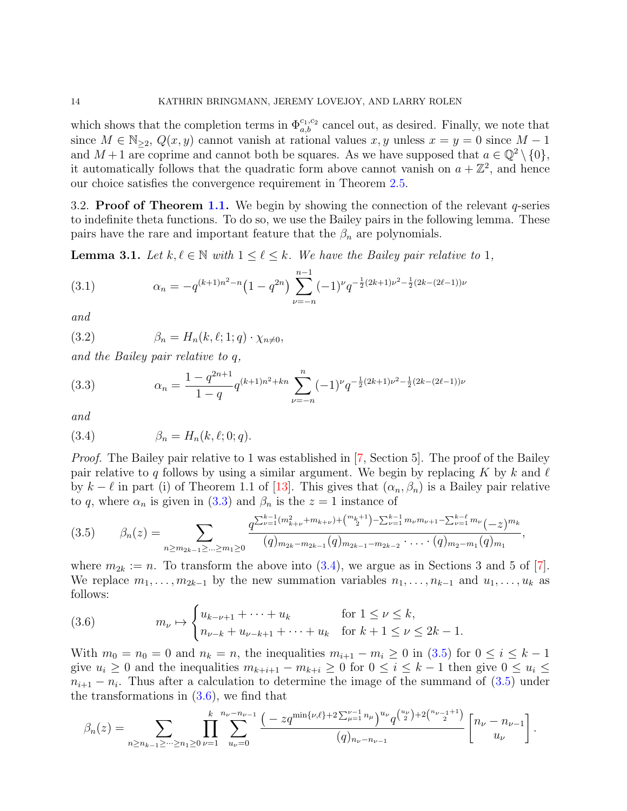which shows that the completion terms in  $\Phi_{a,b}^{c_1,c_2}$  cancel out, as desired. Finally, we note that since  $M \in \mathbb{N}_{\geq 2}$ ,  $Q(x, y)$  cannot vanish at rational values x, y unless  $x = y = 0$  since  $M - 1$ and  $M+1$  are coprime and cannot both be squares. As we have supposed that  $a \in \mathbb{Q}^2 \setminus \{0\},$ it automatically follows that the quadratic form above cannot vanish on  $a + \mathbb{Z}^2$ , and hence our choice satisfies the convergence requirement in Theorem [2.5.](#page-8-3)

3.2. **Proof of Theorem [1.1.](#page-3-0)** We begin by showing the connection of the relevant  $q$ -series to indefinite theta functions. To do so, we use the Bailey pairs in the following lemma. These pairs have the rare and important feature that the  $\beta_n$  are polynomials.

<span id="page-13-4"></span>**Lemma 3.1.** Let  $k, \ell \in \mathbb{N}$  with  $1 \leq \ell \leq k$ . We have the Bailey pair relative to 1,

<span id="page-13-5"></span>(3.1) 
$$
\alpha_n = -q^{(k+1)n^2 - n} \left(1 - q^{2n}\right) \sum_{\nu=-n}^{n-1} (-1)^{\nu} q^{-\frac{1}{2}(2k+1)\nu^2 - \frac{1}{2}(2k-(2\ell-1))\nu}
$$

<span id="page-13-6"></span>and

(3.2)  $\beta_n = H_n(k, \ell; 1; q) \cdot \chi_{n \neq 0},$ 

and the Bailey pair relative to q,

<span id="page-13-0"></span>(3.3) 
$$
\alpha_n = \frac{1 - q^{2n+1}}{1 - q} q^{(k+1)n^2 + kn} \sum_{\nu=-n}^n (-1)^{\nu} q^{-\frac{1}{2}(2k+1)\nu^2 - \frac{1}{2}(2k - (2\ell - 1))\nu}
$$

and

<span id="page-13-1"></span>
$$
(3.4) \qquad \beta_n = H_n(k, \ell; 0; q).
$$

Proof. The Bailey pair relative to 1 was established in [\[7,](#page-18-0) Section 5]. The proof of the Bailey pair relative to q follows by using a similar argument. We begin by replacing K by k and  $\ell$ by  $k - \ell$  in part (i) of Theorem 1.1 of [\[13\]](#page-18-17). This gives that  $(\alpha_n, \beta_n)$  is a Bailey pair relative to q, where  $\alpha_n$  is given in [\(3.3\)](#page-13-0) and  $\beta_n$  is the  $z = 1$  instance of

<span id="page-13-2"></span>
$$
(3.5) \qquad \beta_n(z) = \sum_{n \ge m_{2k-1} \ge \dots \ge m_1 \ge 0} \frac{q^{\sum_{\nu=1}^{k-1} (m_{k+\nu}^2 + m_{k+\nu}) + {m_k+1 \choose 2} - \sum_{\nu=1}^{k-1} m_{\nu} m_{\nu+1} - \sum_{\nu=1}^{k-\ell} m_{\nu}}}{(q)_{m_{2k} - m_{2k-1}} (q)_{m_{2k-1} - m_{2k-2}} \cdot \dots \cdot (q)_{m_2 - m_1} (q)_{m_1}},
$$

where  $m_{2k} := n$ . To transform the above into [\(3.4\)](#page-13-1), we argue as in Sections 3 and 5 of [\[7\]](#page-18-0). We replace  $m_1, \ldots, m_{2k-1}$  by the new summation variables  $n_1, \ldots, n_{k-1}$  and  $u_1, \ldots, u_k$  as follows:

<span id="page-13-3"></span>(3.6) 
$$
m_{\nu} \mapsto \begin{cases} u_{k-\nu+1} + \cdots + u_k & \text{for } 1 \le \nu \le k, \\ n_{\nu-k} + u_{\nu-k+1} + \cdots + u_k & \text{for } k+1 \le \nu \le 2k-1. \end{cases}
$$

With  $m_0 = n_0 = 0$  and  $n_k = n$ , the inequalities  $m_{i+1} - m_i \ge 0$  in [\(3.5\)](#page-13-2) for  $0 \le i \le k - 1$ give  $u_i \geq 0$  and the inequalities  $m_{k+i+1} - m_{k+i} \geq 0$  for  $0 \leq i \leq k-1$  then give  $0 \leq u_i \leq$  $n_{i+1} - n_i$ . Thus after a calculation to determine the image of the summand of  $(3.5)$  under the transformations in [\(3.6\)](#page-13-3), we find that

$$
\beta_n(z) = \sum_{n \ge n_{k-1} \ge \dots \ge n_1 \ge 0} \prod_{\nu=1}^k \sum_{u_\nu=0}^{n_\nu - n_{\nu-1}} \frac{(-zq^{\min\{\nu,\ell\}+2\sum_{\mu=1}^{\nu-1} n_\mu\}}{(q)_{n_\nu - n_{\nu-1}}}(q)_{n_\nu - n_\nu - 1}^{u_\nu} \left[ n_\nu - n_{\nu-1} \atop u_\nu \right].
$$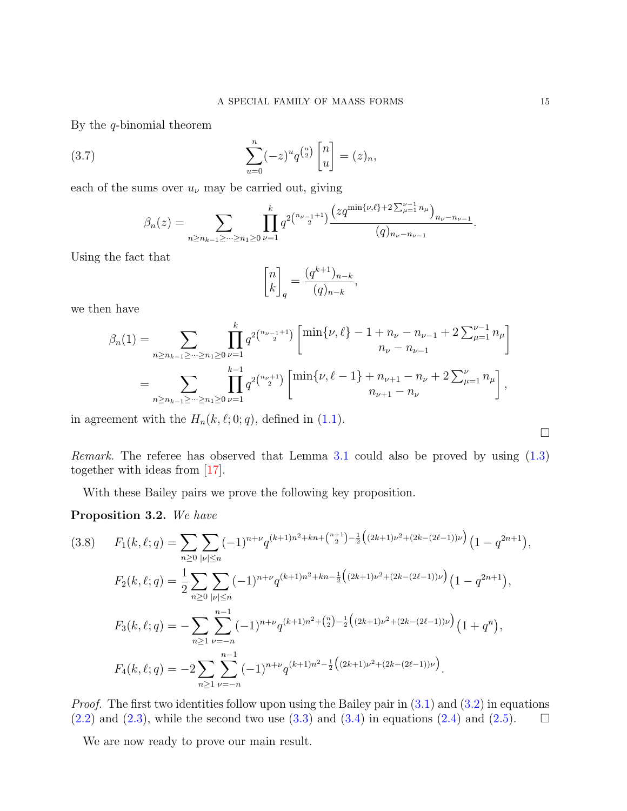By the  $q$ -binomial theorem

(3.7) 
$$
\sum_{u=0}^{n} (-z)^{u} q^{\binom{u}{2}} \begin{bmatrix} n \\ u \end{bmatrix} = (z)_n,
$$

each of the sums over  $u_{\nu}$  may be carried out, giving

$$
\beta_n(z) = \sum_{n \ge n_{k-1} \ge \dots \ge n_1 \ge 0} \prod_{\nu=1}^k q^{2\binom{n_{\nu-1}+1}{2}} \frac{\left(zq^{\min\{\nu,\ell\}+2\sum_{\mu=1}^{\nu-1} n_{\mu}\right)} n_{\nu} - n_{\nu-1}}{(q)_{n_{\nu}-n_{\nu-1}}}.
$$

Using the fact that

$$
\begin{bmatrix} n \\ k \end{bmatrix}_q = \frac{(q^{k+1})_{n-k}}{(q)_{n-k}},
$$

we then have

$$
\beta_n(1) = \sum_{n \ge n_{k-1} \ge \dots \ge n_1 \ge 0} \prod_{\nu=1}^k q^{2\binom{n_{\nu-1}+1}{2}} \begin{bmatrix} \min\{\nu,\ell\} - 1 + n_{\nu} - n_{\nu-1} + 2 \sum_{\mu=1}^{\nu-1} n_{\mu} \end{bmatrix}
$$
  
= 
$$
\sum_{n \ge n_{k-1} \ge \dots \ge n_1 \ge 0} \prod_{\nu=1}^{k-1} q^{2\binom{n_{\nu+1}}{2}} \begin{bmatrix} \min\{\nu,\ell-1\} + n_{\nu+1} - n_{\nu} + 2 \sum_{\mu=1}^{\nu} n_{\mu} \end{bmatrix},
$$

in agreement with the  $H_n(k, \ell; 0; q)$ , defined in [\(1.1\)](#page-0-0).

Remark. The referee has observed that Lemma [3.1](#page-13-4) could also be proved by using [\(1.3\)](#page-1-3) together with ideas from [\[17\]](#page-18-18).

With these Bailey pairs we prove the following key proposition.

# <span id="page-14-0"></span>Proposition 3.2. We have

$$
(3.8) \quad F_1(k,\ell;q) = \sum_{n\geq 0} \sum_{|\nu| \leq n} (-1)^{n+\nu} q^{(k+1)n^2 + kn + {n+1 \choose 2} - \frac{1}{2} \left( (2k+1)\nu^2 + (2k - (2\ell-1))\nu \right)} \left( 1 - q^{2n+1} \right),
$$
\n
$$
F_2(k,\ell;q) = \frac{1}{2} \sum_{n\geq 0} \sum_{|\nu| \leq n} (-1)^{n+\nu} q^{(k+1)n^2 + kn - \frac{1}{2} \left( (2k+1)\nu^2 + (2k - (2\ell-1))\nu \right)} \left( 1 - q^{2n+1} \right),
$$
\n
$$
F_3(k,\ell;q) = -\sum_{n\geq 1} \sum_{\nu=-n}^{n-1} (-1)^{n+\nu} q^{(k+1)n^2 + \binom{n}{2} - \frac{1}{2} \left( (2k+1)\nu^2 + (2k - (2\ell-1))\nu \right)} \left( 1 + q^n \right),
$$
\n
$$
F_4(k,\ell;q) = -2 \sum_{n\geq 1} \sum_{\nu=-n}^{n-1} (-1)^{n+\nu} q^{(k+1)n^2 - \frac{1}{2} \left( (2k+1)\nu^2 + (2k - (2\ell-1))\nu \right)}.
$$

*Proof.* The first two identities follow upon using the Bailey pair in  $(3.1)$  and  $(3.2)$  in equations  $(2.2)$  and  $(2.3)$ , while the second two use  $(3.3)$  and  $(3.4)$  in equations  $(2.4)$  and  $(2.5)$ .  $\Box$ 

We are now ready to prove our main result.

 $\Box$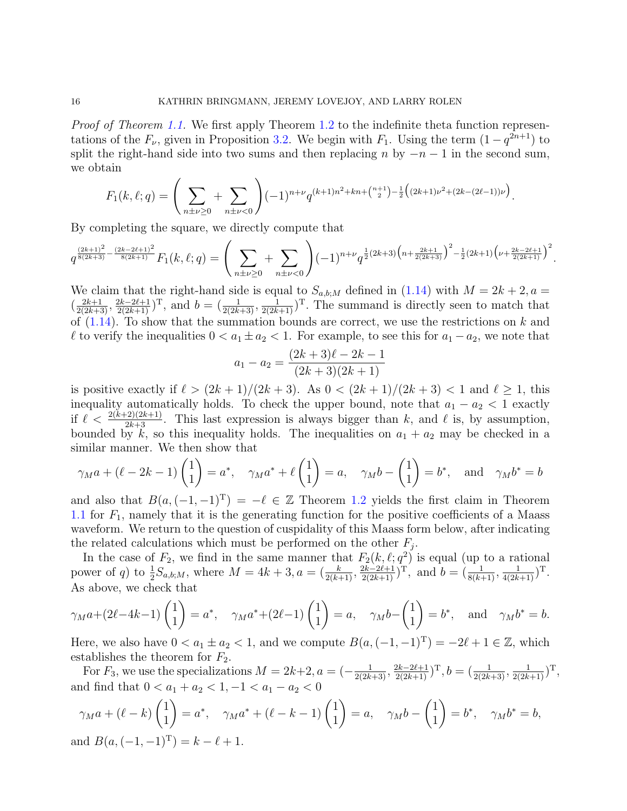Proof of Theorem [1.1.](#page-3-0) We first apply Theorem [1.2](#page-3-2) to the indefinite theta function representations of the  $F_{\nu}$ , given in Proposition [3.2.](#page-14-0) We begin with  $F_1$ . Using the term  $(1 - q^{2n+1})$  to split the right-hand side into two sums and then replacing n by  $-n-1$  in the second sum, we obtain

$$
F_1(k, \ell; q) = \left(\sum_{n \pm \nu \ge 0} + \sum_{n \pm \nu < 0} \right) (-1)^{n+\nu} q^{(k+1)n^2 + kn + \binom{n+1}{2} - \frac{1}{2} \left( (2k+1)\nu^2 + (2k - (2\ell-1))\nu \right)}.
$$

By completing the square, we directly compute that

$$
q^{\frac{(2k+1)^2}{8(2k+3)}-\frac{(2k-2\ell+1)^2}{8(2k+1)}}F_1(k,\ell;q)=\left(\sum_{n\pm\nu\geq 0}+\sum_{n\pm\nu<0}\right)(-1)^{n+\nu}q^{\frac{1}{2}(2k+3)\left(n+\frac{2k+1}{2(2k+3)}\right)^2-\frac{1}{2}(2k+1)\left(\nu+\frac{2k-2\ell+1}{2(2k+1)}\right)^2}.
$$

We claim that the right-hand side is equal to  $S_{a,b,M}$  defined in [\(1.14\)](#page-3-3) with  $M = 2k + 2, a =$  $(\frac{2k+1}{2(2k+3)}, \frac{2k-2\ell+1}{2(2k+1)})^{\mathrm{T}}$ , and  $b = (\frac{1}{2(2k+3)}, \frac{1}{2(2k+1)})^{\mathrm{T}}$ . The summand is directly seen to match that of  $(1.14)$ . To show that the summation bounds are correct, we use the restrictions on k and  $\ell$  to verify the inequalities  $0 < a_1 \pm a_2 < 1$ . For example, to see this for  $a_1 - a_2$ , we note that

$$
a_1 - a_2 = \frac{(2k+3)\ell - 2k - 1}{(2k+3)(2k+1)}
$$

is positive exactly if  $\ell > (2k + 1)/(2k + 3)$ . As  $0 < (2k + 1)/(2k + 3) < 1$  and  $\ell \ge 1$ , this inequality automatically holds. To check the upper bound, note that  $a_1 - a_2 < 1$  exactly if  $\ell < \frac{2(k+2)(2k+1)}{2k+3}$ . This last expression is always bigger than k, and  $\ell$  is, by assumption, bounded by  $\vec{k}$ , so this inequality holds. The inequalities on  $a_1 + a_2$  may be checked in a similar manner. We then show that

$$
\gamma_M a + (\ell - 2k - 1) \begin{pmatrix} 1 \\ 1 \end{pmatrix} = a^*, \quad \gamma_M a^* + \ell \begin{pmatrix} 1 \\ 1 \end{pmatrix} = a, \quad \gamma_M b - \begin{pmatrix} 1 \\ 1 \end{pmatrix} = b^*, \text{ and } \gamma_M b^* = b
$$

and also that  $B(a, (-1, -1)^T) = -\ell \in \mathbb{Z}$  Theorem [1.2](#page-3-2) yields the first claim in Theorem [1.1](#page-3-0) for  $F_1$ , namely that it is the generating function for the positive coefficients of a Maass waveform. We return to the question of cuspidality of this Maass form below, after indicating the related calculations which must be performed on the other  $F_j$ .

In the case of  $F_2$ , we find in the same manner that  $F_2(k, \ell; q^2)$  is equal (up to a rational power of q) to  $\frac{1}{2}S_{a,b;M}$ , where  $M = 4k + 3$ ,  $a = (\frac{k}{2(k+1)}, \frac{2k-2\ell+1}{2(2k+1)})^{\mathrm{T}}$ , and  $b = (\frac{1}{8(k+1)}, \frac{1}{4(2k+1)})^{\mathrm{T}}$ . As above, we check that

$$
\gamma_M a + (2\ell - 4k - 1) \begin{pmatrix} 1 \\ 1 \end{pmatrix} = a^*, \quad \gamma_M a^* + (2\ell - 1) \begin{pmatrix} 1 \\ 1 \end{pmatrix} = a, \quad \gamma_M b - \begin{pmatrix} 1 \\ 1 \end{pmatrix} = b^*, \quad \text{and} \quad \gamma_M b^* = b.
$$

Here, we also have  $0 < a_1 \pm a_2 < 1$ , and we compute  $B(a, (-1, -1)^T) = -2\ell + 1 \in \mathbb{Z}$ , which establishes the theorem for  $F_2$ .

For  $F_3$ , we use the specializations  $M = 2k+2$ ,  $a = \left(-\frac{1}{2(2k+3)}, \frac{2k-2\ell+1}{2(2k+1)}\right)$ ,  $b = \left(\frac{1}{2(2k+3)}, \frac{1}{2(2k+1)}\right)$ , and find that  $0 < a_1 + a_2 < 1, -1 < a_1 - a_2 < 0$ 

$$
\gamma_M a + (\ell - k) \begin{pmatrix} 1 \\ 1 \end{pmatrix} = a^*, \quad \gamma_M a^* + (\ell - k - 1) \begin{pmatrix} 1 \\ 1 \end{pmatrix} = a, \quad \gamma_M b - \begin{pmatrix} 1 \\ 1 \end{pmatrix} = b^*, \quad \gamma_M b^* = b,
$$
  
and  $B(a, (-1, -1)^T) = k - \ell + 1$ .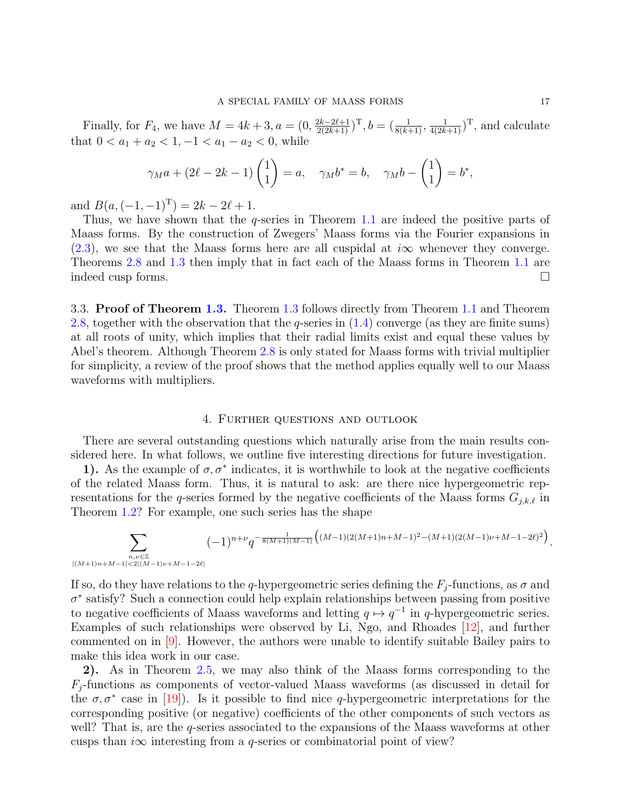Finally, for  $F_4$ , we have  $M = 4k + 3$ ,  $a = (0, \frac{2k-2\ell+1}{2(2k+1)})^T$ ,  $b = (\frac{1}{8(k+1)}, \frac{1}{4(2k+1)})^T$ , and calculate that  $0 < a_1 + a_2 < 1, -1 < a_1 - a_2 < 0$ , while

$$
\gamma_M a + (2\ell - 2k - 1) \begin{pmatrix} 1 \\ 1 \end{pmatrix} = a, \quad \gamma_M b^* = b, \quad \gamma_M b - \begin{pmatrix} 1 \\ 1 \end{pmatrix} = b^*,
$$

and  $B(a, (-1, -1)^T) = 2k - 2\ell + 1$ .

Thus, we have shown that the  $q$ -series in Theorem [1.1](#page-3-0) are indeed the positive parts of Maass forms. By the construction of Zwegers' Maass forms via the Fourier expansions in  $(2.3)$ , we see that the Maass forms here are all cuspidal at  $i\infty$  whenever they converge. Theorems [2.8](#page-10-0) and [1.3](#page-4-2) then imply that in fact each of the Maass forms in Theorem [1.1](#page-3-0) are indeed cusp forms.

3.3. Proof of Theorem [1.3.](#page-4-2) Theorem [1.3](#page-4-2) follows directly from Theorem [1.1](#page-3-0) and Theorem [2.8,](#page-10-0) together with the observation that the q-series in  $(1.4)$  converge (as they are finite sums) at all roots of unity, which implies that their radial limits exist and equal these values by Abel's theorem. Although Theorem [2.8](#page-10-0) is only stated for Maass forms with trivial multiplier for simplicity, a review of the proof shows that the method applies equally well to our Maass waveforms with multipliers.

# 4. Further questions and outlook

<span id="page-16-0"></span>There are several outstanding questions which naturally arise from the main results considered here. In what follows, we outline five interesting directions for future investigation.

1). As the example of  $\sigma$ ,  $\sigma^*$  indicates, it is worthwhile to look at the negative coefficients of the related Maass form. Thus, it is natural to ask: are there nice hypergeometric representations for the q-series formed by the negative coefficients of the Maass forms  $G_{j,k,\ell}$  in Theorem [1.2?](#page-3-2) For example, one such series has the shape

$$
\sum_{\substack{n,\nu \in \mathbb{Z} \\ |(M+1)n + M-1| < 2|(M-1)\nu + M-1-2\ell|}} (-1)^{n+\nu} q^{-\frac{1}{8(M+1)(M-1)}} \left( (M-1)(2(M+1)n + M-1)^2 - (M+1)(2(M-1)\nu + M-1-2\ell)^2 \right).
$$

If so, do they have relations to the q-hypergeometric series defining the  $F_j$ -functions, as  $\sigma$  and  $\sigma^*$  satisfy? Such a connection could help explain relationships between passing from positive to negative coefficients of Maass waveforms and letting  $q \mapsto q^{-1}$  in q-hypergeometric series. Examples of such relationships were observed by Li, Ngo, and Rhoades [\[12\]](#page-18-9), and further commented on in [\[9\]](#page-18-11). However, the authors were unable to identify suitable Bailey pairs to make this idea work in our case.

2). As in Theorem [2.5,](#page-8-3) we may also think of the Maass forms corresponding to the  $F_i$ -functions as components of vector-valued Maass waveforms (as discussed in detail for the  $\sigma, \sigma^*$  case in [\[19\]](#page-18-10)). Is it possible to find nice q-hypergeometric interpretations for the corresponding positive (or negative) coefficients of the other components of such vectors as well? That is, are the q-series associated to the expansions of the Maass waveforms at other cusps than  $i\infty$  interesting from a q-series or combinatorial point of view?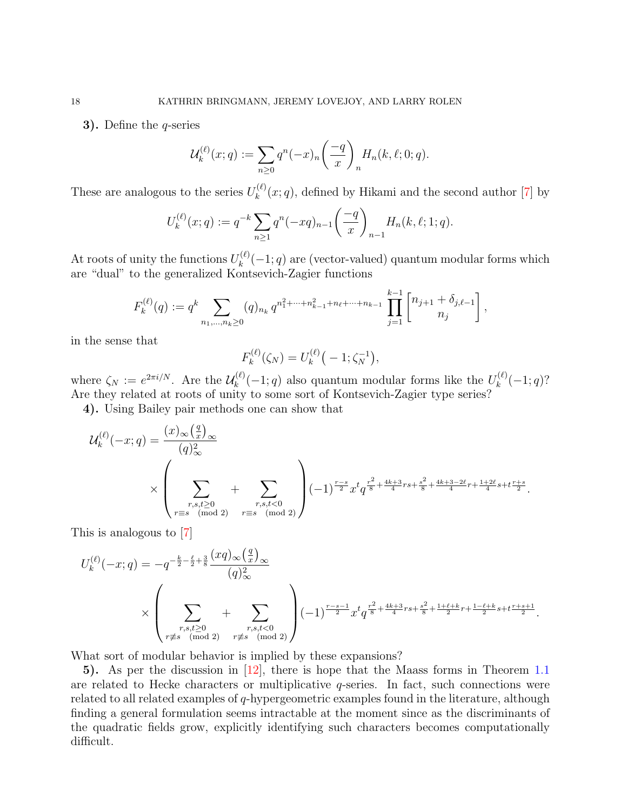**3).** Define the *q*-series

$$
\mathcal{U}_k^{(\ell)}(x;q) := \sum_{n\geq 0} q^n(-x)_n \left(\frac{-q}{x}\right)_n H_n(k,\ell;0;q).
$$

These are analogous to the series  $U_k^{(\ell)}$  $\binom{f^{(k)}}{k}(x;q)$ , defined by Hikami and the second author [\[7\]](#page-18-0) by

$$
U_k^{(\ell)}(x;q) := q^{-k} \sum_{n \ge 1} q^n (-xq)_{n-1} \left( \frac{-q}{x} \right)_{n-1} H_n(k,\ell;1;q).
$$

At roots of unity the functions  $U_k^{(\ell)}$  $\binom{k}{k}(-1; q)$  are (vector-valued) quantum modular forms which are "dual" to the generalized Kontsevich-Zagier functions

$$
F_k^{(\ell)}(q) := q^k \sum_{n_1,\dots,n_k \ge 0} (q)_{n_k} q^{n_1^2 + \dots + n_{k-1}^2 + n_\ell + \dots + n_{k-1}} \prod_{j=1}^{k-1} \left[ \begin{matrix} n_{j+1} + \delta_{j,\ell-1} \\ n_j \end{matrix} \right],
$$

in the sense that

$$
F_k^{(\ell)}(\zeta_N) = U_k^{(\ell)}(-1; \zeta_N^{-1}),
$$

where  $\zeta_N := e^{2\pi i/N}$ . Are the  $\mathcal{U}_k^{(\ell)}$  $k_k^{(\ell)}(-1; q)$  also quantum modular forms like the  $U_k^{(\ell)}$  $k^{(\ell)}(-1;q)$ ? Are they related at roots of unity to some sort of Kontsevich-Zagier type series?

4). Using Bailey pair methods one can show that

$$
\mathcal{U}_{k}^{(\ell)}(-x;q) = \frac{(x)_{\infty}(\frac{q}{x})_{\infty}}{(q)_{\infty}^{2}} + \sum_{\substack{r,s,t \geq 0 \\ r \equiv s \pmod{2}}} \left(-1\right)^{\frac{r-s}{2}} x^{t} q^{\frac{r^{2}}{8} + \frac{4k+3}{4}rs + \frac{s^{2}}{8} + \frac{4k+3-2\ell}{4}r + \frac{1+2\ell}{4}s + t^{\frac{r+s}{2}}}{\binom{r+s}{2}}.
$$

This is analogous to [\[7\]](#page-18-0)

$$
U_k^{(\ell)}(-x;q) = -q^{-\frac{k}{2}-\frac{\ell}{2}+\frac{3}{8}} \frac{(xq)_{\infty}(\frac{q}{x})_{\infty}}{(q)_{\infty}^2}
$$
  
 
$$
\times \left(\sum_{\substack{r,s,t \geq 0 \\ r \not\equiv s \pmod{2}}} + \sum_{\substack{r,s,t < 0 \\ r \not\equiv s \pmod{2}}} \right) (-1)^{\frac{r-s-1}{2}} x^t q^{\frac{r^2}{8}+\frac{4k+3}{4}rs + \frac{s^2}{8}+\frac{1+\ell+k}{2}r + \frac{1-\ell+k}{2}s + t^{\frac{r+s+1}{2}}}.
$$

What sort of modular behavior is implied by these expansions?

5). As per the discussion in [\[12\]](#page-18-9), there is hope that the Maass forms in Theorem [1.1](#page-3-0) are related to Hecke characters or multiplicative  $q$ -series. In fact, such connections were related to all related examples of q-hypergeometric examples found in the literature, although finding a general formulation seems intractable at the moment since as the discriminants of the quadratic fields grow, explicitly identifying such characters becomes computationally difficult.